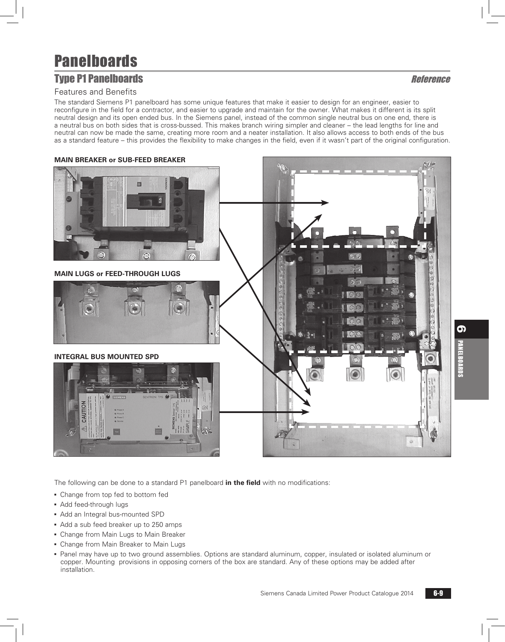## **Type P1 Panelboards Reference**

#### Features and Benefits

The standard Siemens P1 panelboard has some unique features that make it easier to design for an engineer, easier to reconfigure in the field for a contractor, and easier to upgrade and maintain for the owner. What makes it different is its split neutral design and its open ended bus. In the Siemens panel, instead of the common single neutral bus on one end, there is a neutral bus on both sides that is cross-bussed. This makes branch wiring simpler and cleaner – the lead lengths for line and neutral can now be made the same, creating more room and a neater installation. It also allows access to both ends of the bus as a standard feature – this provides the flexibility to make changes in the field, even if it wasn't part of the original configuration.



The following can be done to a standard P1 panelboard **in the field** with no modifications:

- Change from top fed to bottom fed
- Add feed-through lugs
- Add an Integral bus-mounted SPD
- Add a sub feed breaker up to 250 amps
- **Change from Main Lugs to Main Breaker**
- Change from Main Breaker to Main Lugs
- Panel may have up to two ground assemblies. Options are standard aluminum, copper, insulated or isolated aluminum or copper. Mounting provisions in opposing corners of the box are standard. Any of these options may be added after installation.

6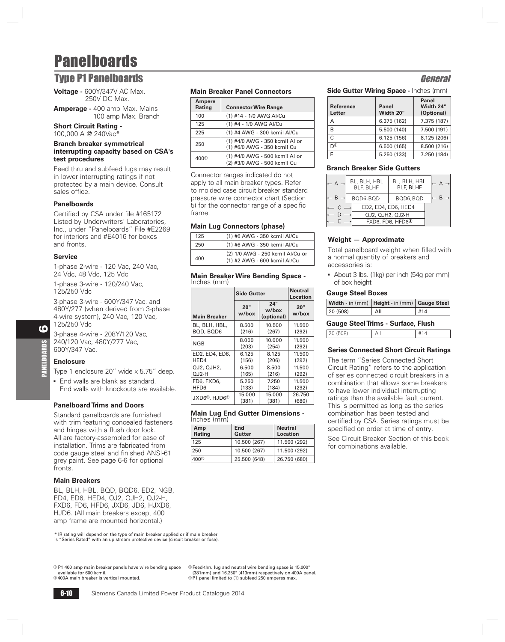### **Type P1 Panelboards General Second Contract Contract Contract Contract Contract Contract Contract Contract Contract Contract Contract Contract Contract Contract Contract Contract Contract Contract Contract Contract Contra**

**Voltage -** 600Y/347V AC Max. 250V DC Max.

**Amperage -** 400 amp Max. Mains 100 amp Max. Branch

#### **Short Circuit Rating -**  100,000 A @ 240Vac

#### **Branch breaker symmetrical interrupting capacity based on CSA's test procedures**

Feed thru and subfeed lugs may result in lower interrupting ratings if not protected by a main device. Consult sales office.

#### **Panelboards**

Certified by CSA under file #165172 Listed by Underwriters' Laboratories, Inc., under "Panelboards" File #E2269 for interiors and #E4016 for boxes and fronts.

#### **Service**

1-phase 2-wire - 120 Vac, 240 Vac, 24 Vdc, 48 Vdc, 125 Vdc

1-phase 3-wire - 120/240 Vac, 125/250 Vdc

3-phase 3-wire - 600Y/347 Vac. and 480Y/277 (when derived from 3-phase 4-wire system), 240 Vac, 120 Vac, 125/250 Vdc

3-phase 4-wire - 208Y/120 Vac, 240/120 Vac, 480Y/277 Vac, 600Y/347 Vac.

#### **Enclosure**

Type 1 enclosure 20" wide x 5.75" deep.

**End walls are blank as standard.** End walls with knockouts are available.

#### **Panelboard Trims and Doors**

Standard panelboards are furnished with trim featuring concealed fasteners and hinges with a flush door lock. All are factory-assembled for ease of installation. Trims are fabricated from code gauge steel and finished ANSI-61 grey paint. See page 6-6 for optional fronts.

#### **Main Breakers**

BL, BLH, HBL, BQD, BQD6, ED2, NGB, ED4, ED6, HED4, QJ2, QJH2, QJ2-H, FXD6, FD6, HFD6, JXD6, JD6, HJXD6, HJD6. (All main breakers except 400 amp frame are mounted horizontal.)

\* IR rating will depend on the type of main breaker applied or if main breaker is "Series Rated" with an up stream protective device (circuit breaker or fuse).

a P1 400 amp main breaker panels have wire bending space available for 600 kcmil.

c Feed-thru lug and neutral wire bending space is 15.000" (381mm) and 16.250" (413mm) respectively on 400A panel. d P1 panel limited to (1) subfeed 250 amperes max.

#### **Main Breaker Panel Connectors**

| Ampere<br>Rating | <b>Connector Wire Range</b>                                   |
|------------------|---------------------------------------------------------------|
| 100              | (1) #14 - 1/0 AWG AI/Cu                                       |
| 125              | (1) #4 - 1/0 AWG AI/Cu                                        |
| 225              | (1) #4 AWG - 300 kcmil Al/Cu                                  |
| 250              | (1) #4/0 AWG - 350 kcmil Al or<br>(1) #6/0 AWG - 350 kcmil Cu |
| 400 <sup>0</sup> | (1) #4/0 AWG - 500 kcmil Al or<br>(2) #3/0 AWG - 500 kcmil Cu |

Connector ranges indicated do not apply to all main breaker types. Refer to molded case circuit breaker standard pressure wire connector chart (Section 5) for the connector range of a specific frame.

#### **Main Lug Connectors (phase)**

| 125 | (1) #6 AWG - 350 kcmil Al/Cu                                     |
|-----|------------------------------------------------------------------|
| 250 | (1) #6 AWG - 350 kcmil Al/Cu                                     |
| 400 | (2) 1/0 AWG - 250 kcmil Al/Cu or<br>(1) #2 AWG - 600 kcmil Al/Cu |

#### **Main Breaker Wire Bending Space -**  Inches (mm)

|                                       | <b>Side Gutter</b> | <b>Neutral</b><br><b>Location</b> |              |
|---------------------------------------|--------------------|-----------------------------------|--------------|
| <b>Main Breaker</b>                   | 20"<br>w/box       | 24"<br>w/box<br>(optional)        | 20"<br>w/box |
| BL, BLH, HBL,                         | 8.500              | 10.500                            | 11.500       |
| BQD, BQD6                             | (216)              | (267)                             | (292)        |
| NGB                                   | 8.000              | 10.000                            | 11.500       |
|                                       | (203)              | (254)                             | (292)        |
| ED2, ED4, ED6,                        | 6.125              | 8.125                             | 11.500       |
| HED4                                  | (156)              | (206)                             | (292)        |
| QJ2, QJH2,                            | 6.500              | 8.500                             | 11.500       |
| $O.J2-H$                              | (165)              | (216)                             | (292)        |
| FD6, FXD6,                            | 5.250              | 7.250                             | 11.500       |
| HFD6                                  | (133)              | (184)                             | (292)        |
| JXD6 <sup>2</sup> , HJD6 <sup>2</sup> | 15.000             | 15.000                            | 26.750       |
|                                       | (381)              | (381)                             | (680)        |

|             |  | <b>Main Lug End Gutter Dimensions -</b> |  |
|-------------|--|-----------------------------------------|--|
| Inches (mm) |  |                                         |  |

| Amp<br>Rating | End<br>Gutter | <b>Neutral</b><br><b>Location</b> |
|---------------|---------------|-----------------------------------|
| 125           | 10.500 (267)  | 11.500 (292)                      |
| 250           | 10.500 (267)  | 11.500 (292)                      |
| $400^\circ$   | 25.500 (648)  | 26.750 (680)                      |

#### **Side Gutter Wiring Space -** Inches (mm)

| <b>Reference</b><br>Letter | <b>Panel</b><br>Width 20" | Panel<br>Width 24"<br>(Optional) |
|----------------------------|---------------------------|----------------------------------|
| А                          | 6.375 (162)               | 7.375 (187)                      |
| R                          | 5.500 (140)               | 7.500 (191)                      |
|                            | 6.125(156)                | 8.125 (206)                      |
| ⊕ח                         | 6.500 (165)               | 8.500 (216)                      |
|                            | 5.250 (133)               | 7.250 (184)                      |

#### **Branch Breaker Side Gutters**

| ← A –             | BL, BLH, HBL<br>BLF, BLHF | BL, BLH, HBL<br>BLF, BLHF     |  |
|-------------------|---------------------------|-------------------------------|--|
| $- B \rightarrow$ | BQD6, BQD                 | BQD6, BQD                     |  |
|                   | ED2, ED4, ED6, HED4       |                               |  |
|                   | QJ2, QJH2, QJ2-H          |                               |  |
|                   |                           | FXD6, FD6, HFD6 <sup>40</sup> |  |
|                   |                           |                               |  |

#### **Weight — Approximate**

Total panelboard weight when filled with a normal quantity of breakers and accessories is:

About 3 lbs.  $(1 \text{kg})$  per inch  $(54g$  per mm) of box height

#### **Gauge Steel Boxes**

| Width - in (mm)   Height - in (mm)   Gauge Steel |     |     |
|--------------------------------------------------|-----|-----|
| $\sqrt{20}$ (508)                                | All | #14 |
| <b>Gauge Steel Trims - Surface, Flush</b>        |     |     |
|                                                  |     |     |

#### **Series Connected Short Circuit Ratings**

The term "Series Connected Short Circuit Rating" refers to the application of series connected circuit breakers in a combination that allows some breakers to have lower individual interrupting ratings than the available fault current. This is permitted as long as the series combination has been tested and certified by CSA. Series ratings must be specified on order at time of entry.

See Circuit Breaker Section of this book for combinations available.

@ 400A main breaker is vertical mounted.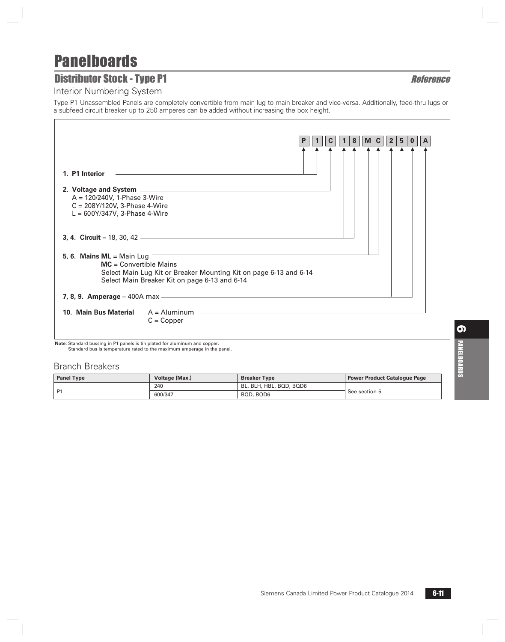## **Distributor Stock - Type P1** Reference

Interior Numbering System

Type P1 Unassembled Panels are completely convertible from main lug to main breaker and vice-versa. Additionally, feed-thru lugs or a subfeed circuit breaker up to 250 amperes can be added without increasing the box height.

|                                                                                                                           |                                                                                                                    |  |  | 8 | M | $\mathbf c$ | $\mathbf{2}$ | 5 |  |
|---------------------------------------------------------------------------------------------------------------------------|--------------------------------------------------------------------------------------------------------------------|--|--|---|---|-------------|--------------|---|--|
| 1. P1 Interior<br>$A = 120/240V$ , 1-Phase 3-Wire<br>$C = 208Y/120V$ , 3-Phase 4-Wire<br>$L = 600Y/347V$ , 3-Phase 4-Wire |                                                                                                                    |  |  |   |   |             |              |   |  |
| 5, 6. Mains $ML = Main$ Lug<br>$MC = Convertible$ Mains                                                                   | Select Main Lug Kit or Breaker Mounting Kit on page 6-13 and 6-14<br>Select Main Breaker Kit on page 6-13 and 6-14 |  |  |   |   |             |              |   |  |
|                                                                                                                           |                                                                                                                    |  |  |   |   |             |              |   |  |
| 10. Main Bus Material                                                                                                     | $A =$ Aluminum $\qquad$<br>$C = Copper$                                                                            |  |  |   |   |             |              |   |  |

**Note:** Standard bussing in P1 panels is tin plated for aluminum and copper. Standard bus is temperature rated to the maximum amperage in the panel.

#### Branch Breakers

| <b>Panel Type</b> | Voltage (Max.) | <b>Breaker Type</b>     | Power Product Catalogue Page |
|-------------------|----------------|-------------------------|------------------------------|
|                   | 240            | BL, BLH, HBL, BQD, BQD6 |                              |
| <b>P1</b>         | 600/347        | BOD, BOD6               | See section 5                |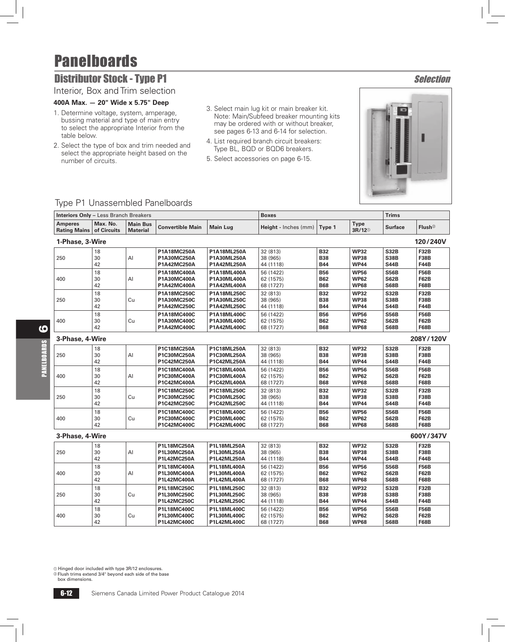## **Distributor Stock - Type P1** Selection

### Interior, Box and Trim selection

#### **400A Max. — 20" Wide x 5.75" Deep**

- 1. Determine voltage, system, amperage, bussing material and type of main entry to select the appropriate Interior from the table below.
- 2. Select the type of box and trim needed and select the appropriate height based on the number of circuits.
- 3. Select main lug kit or main breaker kit. Note: Main/Subfeed breaker mounting kits may be ordered with or without breaker, see pages 6-13 and 6-14 for selection.
- 4. List required branch circuit breakers: Type BL, BQD or BQD6 breakers.
- 5. Select accessories on page 6-15.



### Type P1 Unassembled Panelboards

| <b>Interiors Only - Less Branch Breakers</b> |                         |                                    |                                           |                                           | <b>Boxes</b>                        |                                        |                                           | <b>Trims</b>                              |                                           |  |
|----------------------------------------------|-------------------------|------------------------------------|-------------------------------------------|-------------------------------------------|-------------------------------------|----------------------------------------|-------------------------------------------|-------------------------------------------|-------------------------------------------|--|
| <b>Amperes</b><br><b>Rating Mains</b>        | Max. No.<br>of Circuits | <b>Main Bus</b><br><b>Material</b> | <b>Convertible Main</b>                   | <b>Main Lug</b>                           | Height - Inches (mm)                | Type 1                                 | <b>Type</b><br>3R/12 <sup>10</sup>        | <b>Surface</b>                            | Flush <sup>2</sup>                        |  |
| 1-Phase, 3-Wire                              |                         |                                    |                                           |                                           |                                     |                                        |                                           |                                           | 120/240V                                  |  |
| 250                                          | 18<br>30<br>42          | Al                                 | P1A18MC250A<br>P1A30MC250A<br>P1A42MC250A | P1A18ML250A<br>P1A30ML250A<br>P1A42ML250A | 32 (813)<br>38 (965)<br>44 (1118)   | <b>B32</b><br><b>B38</b><br><b>B44</b> | <b>WP32</b><br><b>WP38</b><br><b>WP44</b> | <b>S32B</b><br><b>S38B</b><br><b>S44B</b> | <b>F32B</b><br><b>F38B</b><br><b>F44B</b> |  |
| 400                                          | 18<br>30<br>42          | Al                                 | P1A18MC400A<br>P1A30MC400A<br>P1A42MC400A | P1A18ML400A<br>P1A30ML400A<br>P1A42ML400A | 56 (1422)<br>62 (1575)<br>68 (1727) | <b>B56</b><br><b>B62</b><br><b>B68</b> | <b>WP56</b><br><b>WP62</b><br><b>WP68</b> | <b>S56B</b><br><b>S62B</b><br><b>S68B</b> | <b>F56B</b><br><b>F62B</b><br><b>F68B</b> |  |
| 250                                          | 18<br>30<br>42          | Cu                                 | P1A18MC250C<br>P1A30MC250C<br>P1A42MC250C | P1A18ML250C<br>P1A30ML250C<br>P1A42ML250C | 32 (813)<br>38 (965)<br>44 (1118)   | <b>B32</b><br><b>B38</b><br><b>B44</b> | <b>WP32</b><br><b>WP38</b><br><b>WP44</b> | <b>S32B</b><br><b>S38B</b><br><b>S44B</b> | <b>F32B</b><br><b>F38B</b><br><b>F44B</b> |  |
| 400                                          | 18<br>30<br>42          | Cu                                 | P1A18MC400C<br>P1A30MC400C<br>P1A42MC400C | P1A18ML400C<br>P1A30ML400C<br>P1A42ML400C | 56 (1422)<br>62 (1575)<br>68 (1727) | <b>B56</b><br><b>B62</b><br><b>B68</b> | <b>WP56</b><br><b>WP62</b><br><b>WP68</b> | <b>S56B</b><br><b>S62B</b><br><b>S68B</b> | <b>F56B</b><br><b>F62B</b><br><b>F68B</b> |  |
| 3-Phase, 4-Wire                              |                         |                                    |                                           |                                           |                                     |                                        |                                           |                                           | 208Y/120V                                 |  |
| 250                                          | 18<br>30<br>42          | Al                                 | P1C18MC250A<br>P1C30MC250A<br>P1C42MC250A | P1C18ML250A<br>P1C30ML250A<br>P1C42ML250A | 32 (813)<br>38 (965)<br>44 (1118)   | <b>B32</b><br><b>B38</b><br><b>B44</b> | <b>WP32</b><br><b>WP38</b><br><b>WP44</b> | <b>S32B</b><br><b>S38B</b><br><b>S44B</b> | <b>F32B</b><br><b>F38B</b><br><b>F44B</b> |  |
| 400                                          | 18<br>30<br>42          | Al                                 | P1C18MC400A<br>P1C30MC400A<br>P1C42MC400A | P1C18ML400A<br>P1C30ML400A<br>P1C42ML400A | 56 (1422)<br>62 (1575)<br>68 (1727) | <b>B56</b><br><b>B62</b><br><b>B68</b> | <b>WP56</b><br><b>WP62</b><br><b>WP68</b> | <b>S56B</b><br><b>S62B</b><br><b>S68B</b> | <b>F56B</b><br><b>F62B</b><br><b>F68B</b> |  |
| 250                                          | 18<br>30<br>42          | Cu                                 | P1C18MC250C<br>P1C30MC250C<br>P1C42MC250C | P1C18ML250C<br>P1C30ML250C<br>P1C42ML250C | 32 (813)<br>38 (965)<br>44 (1118)   | <b>B32</b><br><b>B38</b><br><b>B44</b> | <b>WP32</b><br><b>WP38</b><br><b>WP44</b> | <b>S32B</b><br><b>S38B</b><br><b>S44B</b> | <b>F32B</b><br><b>F38B</b><br><b>F44B</b> |  |
| 400                                          | 18<br>30<br>42          | Cu                                 | P1C18MC400C<br>P1C30MC400C<br>P1C42MC400C | P1C18ML400C<br>P1C30ML400C<br>P1C42ML400C | 56 (1422)<br>62 (1575)<br>68 (1727) | <b>B56</b><br><b>B62</b><br><b>B68</b> | <b>WP56</b><br><b>WP62</b><br><b>WP68</b> | <b>S56B</b><br><b>S62B</b><br><b>S68B</b> | <b>F56B</b><br><b>F62B</b><br><b>F68B</b> |  |
| 3-Phase, 4-Wire                              |                         |                                    |                                           |                                           |                                     |                                        |                                           |                                           | 600Y/347V                                 |  |
| 250                                          | 18<br>30<br>42          | Al                                 | P1L18MC250A<br>P1L30MC250A<br>P1L42MC250A | P1L18ML250A<br>P1L30ML250A<br>P1L42ML250A | 32 (813)<br>38 (965)<br>44 (1118)   | <b>B32</b><br><b>B38</b><br><b>B44</b> | <b>WP32</b><br><b>WP38</b><br><b>WP44</b> | <b>S32B</b><br><b>S38B</b><br><b>S44B</b> | <b>F32B</b><br><b>F38B</b><br><b>F44B</b> |  |
| 400                                          | 18<br>30<br>42          | AI                                 | P1L18MC400A<br>P1L30MC400A<br>P1L42MC400A | P1L18ML400A<br>P1L30ML400A<br>P1L42ML400A | 56 (1422)<br>62 (1575)<br>68 (1727) | <b>B56</b><br><b>B62</b><br><b>B68</b> | <b>WP56</b><br><b>WP62</b><br><b>WP68</b> | <b>S56B</b><br><b>S62B</b><br><b>S68B</b> | <b>F56B</b><br><b>F62B</b><br><b>F68B</b> |  |
| 250                                          | 18<br>30<br>42          | Cu                                 | P1L18MC250C<br>P1L30MC250C<br>P1L42MC250C | P1L18ML250C<br>P1L30ML250C<br>P1L42ML250C | 32 (813)<br>38 (965)<br>44 (1118)   | <b>B32</b><br><b>B38</b><br><b>B44</b> | <b>WP32</b><br><b>WP38</b><br><b>WP44</b> | <b>S32B</b><br><b>S38B</b><br><b>S44B</b> | <b>F32B</b><br><b>F38B</b><br><b>F44B</b> |  |
| 400                                          | 18<br>30<br>42          | Cu                                 | P1L18MC400C<br>P1L30MC400C<br>P1L42MC400C | P1L18ML400C<br>P1L30ML400C<br>P1L42ML400C | 56 (1422)<br>62 (1575)<br>68 (1727) | <b>B56</b><br><b>B62</b><br><b>B68</b> | <b>WP56</b><br><b>WP62</b><br><b>WP68</b> | <b>S56B</b><br><b>S62B</b><br><b>S68B</b> | <b>F56B</b><br><b>F62B</b><br><b>F68B</b> |  |

a Hinged door included with type 3R/12 enclosures. b Flush trims extend 3/4" beyond each side of the base

box dimensions.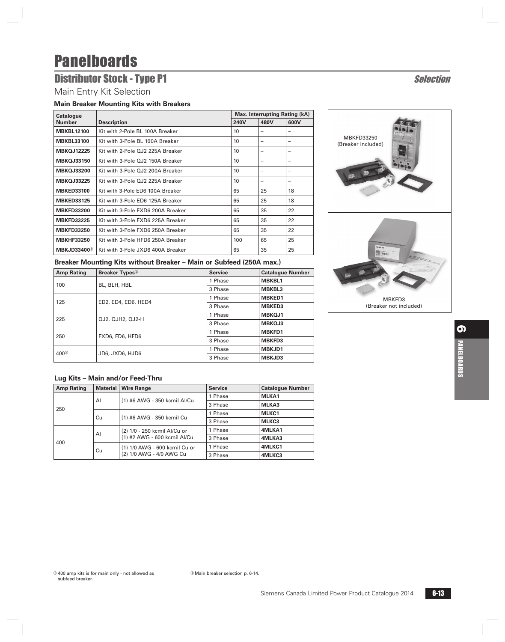## **Distributor Stock - Type P1** Selection

### Main Entry Kit Selection

#### **Main Breaker Mounting Kits with Breakers**

| <b>Catalogue</b>               |                                   | Max. Interrupting Rating (kA) |      |                          |  |
|--------------------------------|-----------------------------------|-------------------------------|------|--------------------------|--|
| <b>Number</b>                  | <b>Description</b>                | 240V                          | 480V | 600V                     |  |
| <b>MBKBL12100</b>              | Kit with 2-Pole BL 100A Breaker   | 10                            |      |                          |  |
| <b>MBKBL33100</b>              | Kit with 3-Pole BL 100A Breaker   | 10                            |      |                          |  |
| <b>MBKQJ12225</b>              | Kit with 2-Pole QJ2 225A Breaker  | 10                            | -    | -                        |  |
| <b>MBKQJ33150</b>              | Kit with 3-Pole QJ2 150A Breaker  | 10                            |      |                          |  |
| <b>MBKQJ33200</b>              | Kit with 3-Pole OJ2 200A Breaker  | 10                            | -    | -                        |  |
| <b>MBKQJ33225</b>              | Kit with 3-Pole QJ2 225A Breaker  | 10                            | -    | $\overline{\phantom{a}}$ |  |
| <b>MBKED33100</b>              | Kit with 3-Pole ED6 100A Breaker  | 65                            | 25   | 18                       |  |
| <b>MBKED33125</b>              | Kit with 3-Pole ED6 125A Breaker  | 65                            | 25   | 18                       |  |
| <b>MBKFD33200</b>              | Kit with 3-Pole FXD6 200A Breaker | 65                            | 35   | 22                       |  |
| <b>MBKFD33225</b>              | Kit with 3-Pole FXD6 225A Breaker | 65                            | 35   | 22                       |  |
| <b>MBKFD33250</b>              | Kit with 3-Pole FXD6 250A Breaker | 65                            | 35   | 22                       |  |
| <b>MBKHF33250</b>              | Kit with 3-Pole HFD6 250A Breaker | 100                           | 65   | 25                       |  |
| <b>MBKJD33400</b> <sup>0</sup> | Kit with 3-Pole JXD6 400A Breaker | 65                            | 35   | 25                       |  |

#### **Breaker Mounting Kits without Breaker – Main or Subfeed (250A max.)**

| <b>Amp Rating</b> | <b>Breaker Types</b> <sup>2</sup> | <b>Service</b> | <b>Catalogue Number</b> |
|-------------------|-----------------------------------|----------------|-------------------------|
|                   | BL, BLH, HBL                      | 1 Phase        | <b>MBKBL1</b>           |
| 100               |                                   | 3 Phase        | <b>MBKBL3</b>           |
| 125               | ED2, ED4, ED6, HED4               | 1 Phase        | <b>MBKED1</b>           |
|                   |                                   | 3 Phase        | <b>MBKED3</b>           |
| 225               | QJ2, QJH2, QJ2-H                  | 1 Phase        | <b>MBKOJ1</b>           |
|                   |                                   | 3 Phase        | MBKOJ3                  |
| 250               | FXD6, FD6, HFD6                   | 1 Phase        | <b>MBKFD1</b>           |
|                   |                                   | 3 Phase        | <b>MBKFD3</b>           |
| 400 <sup>0</sup>  |                                   | 1 Phase        | MBKJD1                  |
|                   | JD6, JXD6, HJD6                   | 3 Phase        | <b>MBKJD3</b>           |

#### **Lug Kits – Main and/or Feed-Thru**

| <b>Amp Rating</b> | Material                  | <b>Wire Range</b>             | <b>Service</b> | <b>Catalogue Number</b> |
|-------------------|---------------------------|-------------------------------|----------------|-------------------------|
|                   | AI                        | (1) #6 AWG - 350 kcmil Al/Cu  | 1 Phase        | MLKA1                   |
|                   |                           |                               | 3 Phase        | MLKA3                   |
| 250               | (1) #6 AWG - 350 kcmil Cu | 1 Phase                       | MLKC1          |                         |
| Cu                |                           |                               | 3 Phase        | MLKC3                   |
| AI<br>400         |                           | (2) 1/0 - 250 kcmil Al/Cu or  | 1 Phase        | 4MLKA1                  |
|                   |                           | (1) #2 AWG - 600 kcmil Al/Cu  | 3 Phase        | 4MLKA3                  |
|                   | Cu                        | (1) 1/0 AWG - 600 kcmil Cu or | 1 Phase        | 4MLKC1                  |
|                   |                           | (2) 1/0 AWG - 4/0 AWG Cu      | 3 Phase        | 4MLKC3                  |

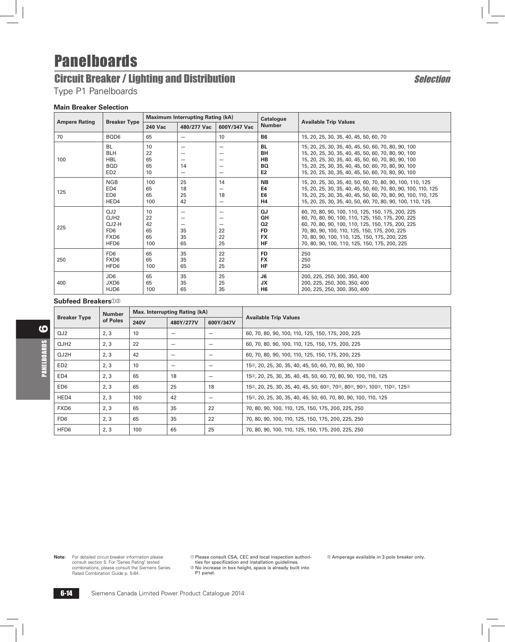# **Circuit Breaker / Lighting and Distribution** Selection Selection

Type P1 Panelboards

#### **Main Breaker Selection**

|                      |                                                                                                | <b>Maximum Interrupting Rating (kA)</b> |                               | <b>Catalogue</b>                                                                                             |                                                                    |                                                                                                                                                                                                                                                                                                                |
|----------------------|------------------------------------------------------------------------------------------------|-----------------------------------------|-------------------------------|--------------------------------------------------------------------------------------------------------------|--------------------------------------------------------------------|----------------------------------------------------------------------------------------------------------------------------------------------------------------------------------------------------------------------------------------------------------------------------------------------------------------|
| <b>Ampere Rating</b> | <b>Breaker Type</b>                                                                            | <b>240 Vac</b>                          | 480/277 Vac                   | 600Y/347 Vac                                                                                                 | <b>Number</b>                                                      | <b>Available Trip Values</b>                                                                                                                                                                                                                                                                                   |
| 70                   | BQD6                                                                                           | 65                                      | $\overline{\phantom{0}}$      | 10                                                                                                           | <b>B6</b>                                                          | 15, 20, 25, 30, 35, 40, 45, 50, 60, 70                                                                                                                                                                                                                                                                         |
| 100                  | <b>BL</b><br><b>BLH</b><br><b>HBL</b><br><b>BOD</b><br>ED <sub>2</sub>                         | 10<br>22<br>65<br>65<br>10              | -<br>14<br>-                  | $\overline{\phantom{0}}$<br>$\overline{\phantom{0}}$<br>$\overline{\phantom{0}}$<br>$\overline{\phantom{0}}$ | <b>BL</b><br><b>BH</b><br><b>HB</b><br><b>BQ</b><br>E <sub>2</sub> | 15, 20, 25, 30, 35, 40, 45, 50, 60, 70, 80, 90, 100<br>15, 20, 25, 30, 35, 40, 45, 50, 60, 70, 80, 90, 100<br>15, 20, 25, 30, 35, 40, 45, 50, 60, 70, 80, 90, 100<br>15, 20, 25, 30, 35, 40, 45, 50, 60, 70, 80, 90, 100<br>15, 20, 25, 30, 35, 40, 45, 50, 60, 70, 80, 90, 100                                |
| 125                  | <b>NGB</b><br>ED4<br>ED <sub>6</sub><br>HED4                                                   | 100<br>65<br>65<br>100                  | 25<br>18<br>25<br>42          | 14<br>18<br>$\overline{\phantom{0}}$                                                                         | <b>NB</b><br>E4<br>E <sub>6</sub><br>H <sub>4</sub>                | 15, 20, 25, 30, 35, 40, 50, 60, 70, 80, 90, 100, 110, 125<br>15, 20, 25, 30, 35, 40, 45, 50, 60, 70, 80, 90, 100, 110, 125<br>15, 20, 25, 30, 35, 40, 45, 50, 60, 70, 80, 90, 100, 110, 125<br>15, 20, 25, 30, 35, 40, 50, 60, 70, 80, 90, 100, 110, 125                                                       |
| 225                  | QJ2<br>OJH <sub>2</sub><br>$O.J2-H$<br>FD <sub>6</sub><br>FXD <sub>6</sub><br>HFD <sub>6</sub> | 10<br>22<br>42<br>65<br>65<br>100       | -<br>-<br>-<br>35<br>35<br>65 | -<br>$\overline{\phantom{0}}$<br>$\overline{\phantom{0}}$<br>22<br>22<br>25                                  | QJ<br>QH<br>Q <sub>2</sub><br><b>FD</b><br><b>FX</b><br><b>HF</b>  | 60, 70, 80, 90, 100, 110, 125, 150, 175, 200, 225<br>60, 70, 80, 90, 100, 110, 125, 150, 175, 200, 225<br>60, 70, 80, 90, 100, 110, 125, 150, 175, 200, 225<br>70, 80, 90, 100, 110, 125, 150, 175, 200, 225<br>70, 80, 90, 100, 110, 125, 150, 175, 200, 225<br>70, 80, 90, 100, 110, 125, 150, 175, 200, 225 |
| 250                  | FD <sub>6</sub><br>FXD <sub>6</sub><br>HFD6                                                    | 65<br>65<br>100                         | 35<br>35<br>65                | 22<br>22<br>25                                                                                               | <b>FD</b><br><b>FX</b><br><b>HF</b>                                | 250<br>250<br>250                                                                                                                                                                                                                                                                                              |
| 400                  | JD <sub>6</sub><br>JXD6<br>HJD6                                                                | 65<br>65<br>100                         | 35<br>35<br>65                | 25<br>25<br>35                                                                                               | J6<br><b>JX</b><br>H <sub>6</sub>                                  | 200, 225, 250, 300, 350, 400<br>200, 225, 250, 300, 350, 400<br>200, 225, 250, 300, 350, 400                                                                                                                                                                                                                   |

#### **Subfeed Breakers**<sup>02</sup>

|                     | Max. Interrupting Rating (kA)<br><b>Number</b> |      |           |           |                                                                             |  |
|---------------------|------------------------------------------------|------|-----------|-----------|-----------------------------------------------------------------------------|--|
| <b>Breaker Type</b> | of Poles                                       | 240V | 480Y/277V | 600Y/347V | <b>Available Trip Values</b>                                                |  |
| QJ2                 | 2, 3                                           | 10   |           |           | 60, 70, 80, 90, 100, 110, 125, 150, 175, 200, 225                           |  |
| QJH2                | 2, 3                                           | 22   |           |           | 60, 70, 80, 90, 100, 110, 125, 150, 175, 200, 225                           |  |
| QJ2H                | 2, 3                                           | 42   |           |           | 60, 70, 80, 90, 100, 110, 125, 150, 175, 200, 225                           |  |
| ED <sub>2</sub>     | 2, 3                                           | 10   |           |           | 15 <sup>3</sup> , 20, 25, 30, 35, 40, 45, 50, 60, 70, 80, 90, 100           |  |
| ED4                 | 2, 3                                           | 65   | 18        |           | 15 <sup>®</sup> , 20, 25, 30, 35, 40, 45, 50, 60, 70, 80, 90, 100, 110, 125 |  |
| ED <sub>6</sub>     | 2, 3                                           | 65   | 25        | 18        | 15©, 20, 25, 30, 35, 40, 45, 50, 60©, 70©, 80©, 90©, 100©, 110©, 125©       |  |
| HED4                | 2, 3                                           | 100  | 42        |           | 15 <sup>®</sup> , 20, 25, 30, 35, 40, 45, 50, 60, 70, 80, 90, 100, 110, 125 |  |
| FXD <sub>6</sub>    | 2, 3                                           | 65   | 35        | 22        | 70, 80, 90, 100, 110, 125, 150, 175, 200, 225, 250                          |  |
| FD <sub>6</sub>     | 2, 3                                           | 65   | 35        | 22        | 70, 80, 90, 100, 110, 125, 150, 175, 200, 225, 250                          |  |
| HFD6                | 2, 3                                           | 100  | 65        | 25        | 70, 80, 90, 100, 110, 125, 150, 175, 200, 225, 250                          |  |

**Note:** For detailed circuit breaker information please consult section 5. For "Series Rating" tested combinations, please consult the Siemens Series Rated Combination Guide p. 5-84.

 $\circ$  Please consult CSA, CEC and local inspection authorities for specification and installation guidelines.<br>Inties for specification and installation guidelines.<br>Mo increase in box height, space is already built into  $\,$ 

P1 panel.

<sup>3</sup> Amperage available in 3 pole breaker only.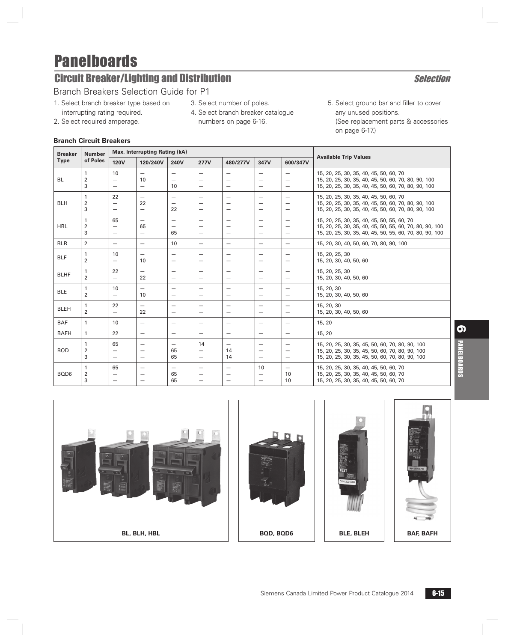# **Circuit Breaker/Lighting and Distribution Selection** Selection

### Branch Breakers Selection Guide for P1

- 1. Select branch breaker type based on interrupting rating required.
- 3. Select number of poles.
- 2. Select required amperage. 4. Select branch breaker catalogue numbers on page 6-16.
- 5. Select ground bar and filler to cover any unused positions. (See replacement parts & accessories on page 6-17.)

**Branch Circuit Breakers** 

| <b>Breaker</b> | <b>Max. Interrupting Rating (kA)</b><br><b>Number</b> |                                                            |                                                                           |                                                            |                                | <b>Available Trip Values</b> |                                                      |                                                                                  |                                                                                                                                                                  |
|----------------|-------------------------------------------------------|------------------------------------------------------------|---------------------------------------------------------------------------|------------------------------------------------------------|--------------------------------|------------------------------|------------------------------------------------------|----------------------------------------------------------------------------------|------------------------------------------------------------------------------------------------------------------------------------------------------------------|
| <b>Type</b>    | of Poles                                              | <b>120V</b>                                                | 120/240V                                                                  | 240V                                                       | <b>277V</b>                    | 480/277V                     | 347V                                                 | 600/347V                                                                         |                                                                                                                                                                  |
| <b>BL</b>      | $\overline{2}$<br>3                                   | 10<br>$\overline{\phantom{0}}$                             | $\overline{\phantom{0}}$<br>10<br>$\overline{\phantom{0}}$                | $\overline{\phantom{m}}$<br>$\overline{\phantom{m}}$<br>10 |                                | -<br>$\qquad \qquad -$       | $\overline{\phantom{0}}$<br>$\overline{\phantom{0}}$ | $\overline{\phantom{m}}$<br>$\overline{\phantom{m}}$<br>$\qquad \qquad -$        | 15, 20, 25, 30, 35, 40, 45, 50, 60, 70<br>15, 20, 25, 30, 35, 40, 45, 50, 60, 70, 80, 90, 100<br>15, 20, 25, 30, 35, 40, 45, 50, 60, 70, 80, 90, 100             |
| <b>BLH</b>     | 1<br>$\overline{2}$<br>3                              | 22<br>-                                                    | $\overline{\phantom{0}}$<br>22<br>$\overline{\phantom{0}}$                | $\overline{\phantom{m}}$<br>22                             |                                |                              | -<br>$\overline{\phantom{a}}$                        | $\overline{\phantom{m}}$<br>$\qquad \qquad -$                                    | 15, 20, 25, 30, 35, 40, 45, 50, 60, 70<br>15, 20, 25, 30, 35, 40, 45, 50, 60, 70, 80, 90, 100<br>15, 20, 25, 30, 35, 40, 45, 50, 60, 70, 80, 90, 100             |
| <b>HBL</b>     | 1<br>$\overline{2}$<br>3                              | 65<br>$\overline{\phantom{0}}$                             | $\overline{\phantom{0}}$<br>65<br>$\overline{\phantom{0}}$                | $\overline{\phantom{m}}$<br>$\overline{\phantom{0}}$<br>65 | $\overline{\phantom{0}}$       | $\overline{\phantom{0}}$     | $\overline{\phantom{0}}$                             | $\overline{\phantom{m}}$<br>$\overline{\phantom{m}}$<br>$\qquad \qquad -$        | 15, 20, 25, 30, 35, 40, 45, 50, 55, 60, 70<br>15, 20, 25, 30, 35, 40, 45, 50, 55, 60, 70, 80, 90, 100<br>15, 20, 25, 30, 35, 40, 45, 50, 55, 60, 70, 80, 90, 100 |
| <b>BLR</b>     | $\overline{2}$                                        | $\qquad \qquad -$                                          | $\overline{\phantom{0}}$                                                  | 10                                                         | $\qquad \qquad -$              |                              |                                                      | $\qquad \qquad -$                                                                | 15, 20, 30, 40, 50, 60, 70, 80, 90, 100                                                                                                                          |
| <b>BLF</b>     | 1<br>$\overline{2}$                                   | 10<br>$\overline{\phantom{0}}$                             | $\overline{\phantom{0}}$<br>10                                            | $\overline{\phantom{m}}$<br>$\overline{\phantom{m}}$       | $\overline{\phantom{m}}$       |                              | $\overline{\phantom{0}}$                             | $\qquad \qquad -$<br>$\qquad \qquad -$                                           | 15, 20, 25, 30<br>15, 20, 30, 40, 50, 60                                                                                                                         |
| <b>BLHF</b>    | 1<br>$\overline{2}$                                   | 22<br>$\overline{\phantom{0}}$                             | -<br>22                                                                   | -                                                          |                                |                              | -                                                    | $\qquad \qquad -$<br>$\qquad \qquad -$                                           | 15, 20, 25, 30<br>15, 20, 30, 40, 50, 60                                                                                                                         |
| <b>BLE</b>     | 1<br>$\overline{2}$                                   | 10<br>$\overline{\phantom{0}}$                             | $\overline{\phantom{m}}$<br>10                                            | $\overline{\phantom{m}}$                                   | $\overline{\phantom{m}}$       |                              | $\qquad \qquad -$<br>$\overline{\phantom{0}}$        | $\overline{\phantom{m}}$<br>$\qquad \qquad -$                                    | 15, 20, 30<br>15, 20, 30, 40, 50, 60                                                                                                                             |
| <b>BLEH</b>    | 1<br>$\overline{2}$                                   | 22                                                         | 22                                                                        | $\overline{\phantom{0}}$                                   |                                | $\overline{\phantom{0}}$     | $\overline{\phantom{0}}$                             | $\qquad \qquad -$<br>$\overline{\phantom{0}}$                                    | 15, 20, 30<br>15, 20, 30, 40, 50, 60                                                                                                                             |
| <b>BAF</b>     | $\mathbf{1}$                                          | 10                                                         | $\qquad \qquad -$                                                         |                                                            |                                | $\overline{\phantom{0}}$     | $\overline{\phantom{0}}$                             | $\overline{\phantom{m}}$                                                         | 15, 20                                                                                                                                                           |
| <b>BAFH</b>    | $\mathbf{1}$                                          | 22                                                         | $\overline{\phantom{0}}$                                                  | $\overline{\phantom{m}}$                                   |                                | $\overline{\phantom{0}}$     | $\overline{\phantom{0}}$                             | $\overline{\phantom{0}}$                                                         | 15, 20                                                                                                                                                           |
| <b>BOD</b>     | 1<br>$\overline{2}$<br>3                              | 65<br>$\overline{\phantom{0}}$<br>$\overline{\phantom{0}}$ | $\overline{\phantom{m}}$<br>$\overline{\phantom{0}}$<br>$\qquad \qquad -$ | $\overline{\phantom{m}}$<br>65<br>65                       | 14<br>$\overline{\phantom{0}}$ | 14<br>14                     | $\overline{\phantom{0}}$<br>-<br>$\qquad \qquad -$   | $\overline{\phantom{m}}$<br>$\overline{\phantom{a}}$<br>$\overline{\phantom{m}}$ | 15, 20, 25, 30, 35, 45, 50, 60, 70, 80, 90, 100<br>15, 20, 25, 30, 35, 45, 50, 60, 70, 80, 90, 100<br>15, 20, 25, 30, 35, 45, 50, 60, 70, 80, 90, 100            |
| BQD6           | 1<br>$\overline{\mathbf{c}}$<br>3                     | 65<br>$\overline{\phantom{0}}$<br>$\overline{\phantom{0}}$ | $\overline{\phantom{0}}$<br>$\overline{\phantom{0}}$                      | $\overline{\phantom{m}}$<br>65<br>65                       |                                | $\overline{\phantom{0}}$     | 10                                                   | $\overbrace{\phantom{1232211}}$<br>10<br>10                                      | 15, 20, 25, 30, 35, 40, 45, 50, 60, 70<br>15, 20, 25, 30, 35, 40, 45, 50, 60, 70<br>15, 20, 25, 30, 35, 40, 45, 50, 60, 70                                       |

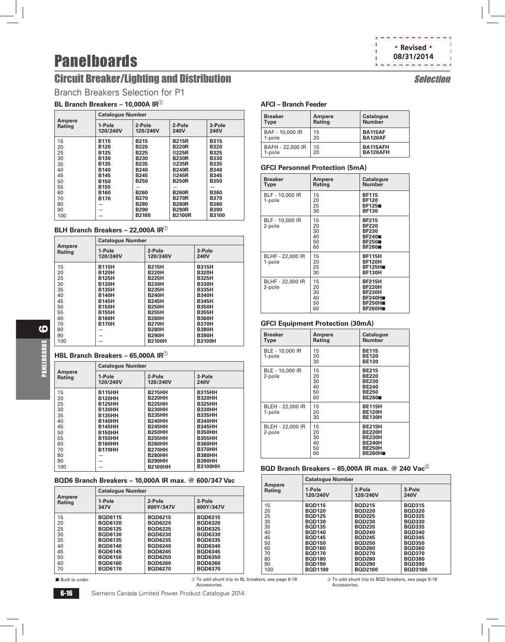# **Circuit Breaker/Lighting and Distribution Selection Selection**

Branch Breakers Selection for P1

### **BL Branch Breakers - 10,000A IR**<sup>10</sup>

|                         | <b>Catalogue Number</b> |                    |                       |                       |
|-------------------------|-------------------------|--------------------|-----------------------|-----------------------|
| Ampere<br><b>Rating</b> | 1-Pole<br>120/240V      | 2-Pole<br>120/240V | 2-Pole<br><b>240V</b> | 3-Pole<br><b>240V</b> |
| 15                      | <b>B115</b>             | <b>B215</b>        | <b>B215R</b>          | <b>B315</b>           |
| 20                      | <b>B120</b>             | <b>B220</b>        | <b>B220R</b>          | <b>B320</b>           |
| 25                      | <b>B125</b>             | <b>B225</b>        | <b>B225R</b>          | <b>B325</b>           |
| 30                      | <b>B130</b>             | <b>B230</b>        | <b>B230R</b>          | <b>B330</b>           |
| 35                      | <b>B135</b>             | <b>B235</b>        | <b>B235R</b>          | <b>B335</b>           |
| 40                      | <b>B140</b>             | <b>B240</b>        | <b>B240R</b>          | <b>B340</b>           |
| 45                      | <b>B145</b>             | <b>B245</b>        | <b>B245R</b>          | <b>B345</b>           |
| 50                      | <b>B150</b>             | <b>B250</b>        | <b>B250R</b>          | <b>B350</b>           |
| 55                      | <b>B155</b>             |                    |                       |                       |
| 60                      | <b>B160</b>             | <b>B260</b>        | <b>B260R</b>          | <b>B360</b>           |
| 70                      | <b>B170</b>             | <b>B270</b>        | <b>B270R</b>          | <b>B370</b>           |
| 80                      |                         | <b>B280</b>        | <b>B280R</b>          | <b>B380</b>           |
| 90                      |                         | <b>B290</b>        | <b>B290R</b>          | <b>B390</b>           |
| 100                     |                         | B2100              | <b>B2100R</b>         | B3100                 |

#### **BLH Branch Breakers - 22,000A IR**<sup>10</sup>

|                         | <b>Catalogue Number</b> |                    |                       |  |  |
|-------------------------|-------------------------|--------------------|-----------------------|--|--|
| Ampere<br><b>Rating</b> | 1-Pole<br>120/240V      | 2-Pole<br>120/240V | 3-Pole<br><b>240V</b> |  |  |
| 15                      | <b>B115H</b>            | <b>B215H</b>       | <b>B315H</b>          |  |  |
| 20                      | <b>B120H</b>            | <b>B220H</b>       | <b>B320H</b>          |  |  |
| 25                      | <b>B125H</b>            | <b>B225H</b>       | <b>B325H</b>          |  |  |
| 30                      | <b>B130H</b>            | <b>B230H</b>       | <b>B330H</b>          |  |  |
| 35                      | <b>B135H</b>            | <b>B235H</b>       | <b>B335H</b>          |  |  |
| 40                      | <b>B140H</b>            | <b>B240H</b>       | <b>B340H</b>          |  |  |
| 45                      | <b>B145H</b>            | <b>B245H</b>       | <b>B345H</b>          |  |  |
| 50                      | <b>B150H</b>            | <b>B250H</b>       | <b>B350H</b>          |  |  |
| 55                      | <b>B155H</b>            | <b>B255H</b>       | <b>B355H</b>          |  |  |
| 60                      | <b>B160H</b>            | <b>B260H</b>       | <b>B360H</b>          |  |  |
| 70                      | <b>B170H</b>            | <b>B270H</b>       | <b>B370H</b>          |  |  |
| 80                      |                         | <b>B280H</b>       | <b>B380H</b>          |  |  |
| 90                      |                         | <b>B290H</b>       | <b>B390H</b>          |  |  |
| 100                     |                         | <b>B2100H</b>      | <b>B3100H</b>         |  |  |

#### **HBL Branch Breakers - 65,000A IR**<sup>①</sup>

|                  | <b>Catalogue Number</b> |                    |                       |  |  |
|------------------|-------------------------|--------------------|-----------------------|--|--|
| Ampere<br>Rating | 1-Pole<br>120/240V      | 2-Pole<br>120/240V | 3-Pole<br><b>240V</b> |  |  |
| 15               | <b>B115HH</b>           | <b>B215HH</b>      | <b>B315HH</b>         |  |  |
| 20               | <b>B120HH</b>           | <b>B220HH</b>      | <b>B320HH</b>         |  |  |
| 25               | <b>B125HH</b>           | <b>B225HH</b>      | <b>B325HH</b>         |  |  |
| 30               | <b>B130HH</b>           | <b>B230HH</b>      | <b>B330HH</b>         |  |  |
| 35               | <b>B135HH</b>           | <b>B235HH</b>      | <b>B335HH</b>         |  |  |
| 40               | <b>B140HH</b>           | <b>B240HH</b>      | <b>B340HH</b>         |  |  |
| 45               | <b>B145HH</b>           | <b>B245HH</b>      | <b>B345HH</b>         |  |  |
| 50               | <b>B150HH</b>           | <b>B250HH</b>      | <b>B350HH</b>         |  |  |
| 55               | <b>B155HH</b>           | <b>B255HH</b>      | <b>B355HH</b>         |  |  |
| 60               | <b>B160HH</b>           | <b>B260HH</b>      | <b>B360HH</b>         |  |  |
| 70               | <b>B170HH</b>           | <b>B270HH</b>      | <b>B370HH</b>         |  |  |
| 80               |                         | <b>B280HH</b>      | <b>B380HH</b>         |  |  |
| 90               |                         | <b>B290HH</b>      | <b>B390HH</b>         |  |  |
| 100              |                         | <b>B2100HH</b>     | <b>B3100HH</b>        |  |  |

#### **BQD6 Branch Breakers – 10,000A IR max. @ 600/347 Vac**

|                         | <b>Catalogue Number</b> |                     |                     |  |  |
|-------------------------|-------------------------|---------------------|---------------------|--|--|
| Ampere<br><b>Rating</b> | 1-Pole<br>347V          | 2-Pole<br>600Y/347V | 3-Pole<br>600Y/347V |  |  |
| 15                      | <b>BQD6115</b>          | <b>BOD6215</b>      | <b>BOD6315</b>      |  |  |
| 20                      | <b>BOD6120</b>          | <b>BOD6220</b>      | <b>BOD6320</b>      |  |  |
| 25                      | <b>BOD6125</b>          | <b>BOD6225</b>      | <b>BOD6325</b>      |  |  |
| 30                      | <b>BOD6130</b>          | <b>BOD6230</b>      | <b>BOD6330</b>      |  |  |
| 35                      | <b>BOD6135</b>          | <b>BOD6235</b>      | <b>BOD6335</b>      |  |  |
| 40                      | <b>BOD6140</b>          | <b>BOD6240</b>      | <b>BOD6340</b>      |  |  |
| 45                      | <b>BOD6145</b>          | <b>BOD6245</b>      | <b>BOD6345</b>      |  |  |
| 50                      | <b>BOD6150</b>          | <b>BOD6250</b>      | <b>BOD6350</b>      |  |  |
| 60                      | <b>BOD6160</b>          | <b>BOD6260</b>      | <b>BOD6360</b>      |  |  |
| 70                      | <b>BQD6170</b>          | <b>BOD6270</b>      | <b>BOD6370</b>      |  |  |





#### **AFCI – Branch Feeder**

| <b>Breaker</b>   | Ampere | Catalogue      |
|------------------|--------|----------------|
| <b>Type</b>      | Rating | <b>Number</b>  |
| BAF - 10,000 IR  | 15     | <b>BA115AF</b> |
| 1-pole           | 20     | <b>BA120AF</b> |
| BAFH - 22,000 IR | 15     | BA115AFH       |
| 1-pole           | 20     | BA120AFH       |

#### **GFCI Personnel Protection (5mA)**

| <b>Breaker</b><br><b>Type</b> | Ampere<br><b>Rating</b>          | <b>Catalogue</b><br>Number                                                                         |
|-------------------------------|----------------------------------|----------------------------------------------------------------------------------------------------|
| BLF - 10,000 IR<br>1-pole     | 15<br>20<br>25<br>30             | <b>BF115</b><br><b>BF120</b><br><b>BF125■</b><br><b>BF130</b>                                      |
| BLF - 10,000 IR<br>2-pole     | 15<br>20<br>30<br>40<br>50<br>60 | <b>BF215</b><br><b>BF220</b><br><b>BF230</b><br><b>BF240</b><br><b>BF250</b><br><b>BF260</b>       |
| BLHF - 22,000 IR<br>1-pole    | 15<br>20<br>25<br>30             | <b>BF115H</b><br><b>BF120H</b><br><b>BF125H</b><br><b>BF130H</b>                                   |
| BLHF - 22,000 IR<br>2-pole    | 15<br>20<br>30<br>40<br>50<br>60 | <b>BF215H</b><br><b>BF220H</b><br><b>BF230H</b><br><b>BF240H</b><br><b>BF250H</b><br><b>BF260H</b> |

#### **GFCI Equipment Protection (30mA)**

| <b>Breaker</b><br>Type     | Ampere<br>Rating                 | <b>Catalogue</b><br><b>Number</b>                                                                  |
|----------------------------|----------------------------------|----------------------------------------------------------------------------------------------------|
| BLE - 10,000 IR<br>1-pole  | 15<br>20<br>30                   | <b>BE115</b><br><b>BE120</b><br><b>BE130</b>                                                       |
| BLE - 10,000 IR<br>2-pole  | 15<br>20<br>30<br>40<br>50<br>60 | <b>BE215</b><br><b>BE220</b><br><b>BE230</b><br><b>BE240</b><br><b>BE250</b><br><b>BE260</b>       |
| BLEH - 22,000 IR<br>1-pole | 15<br>20<br>30                   | <b>BE115H</b><br><b>BE120H</b><br><b>BE130H</b>                                                    |
| BLEH - 22,000 IR<br>2-pole | 15<br>20<br>30<br>40<br>50<br>60 | <b>BE215H</b><br><b>BE220H</b><br><b>BE230H</b><br><b>BE240H</b><br><b>BE250H</b><br><b>BE260H</b> |

#### **BQD Branch Breakers – 65,000A IR max. @ 240 Vac<sup>2</sup>**

| Ampere<br>Rating | <b>Catalogue Number</b> |                    |                       |  |
|------------------|-------------------------|--------------------|-----------------------|--|
|                  | 1-Pole<br>120/240V      | 2-Pole<br>120/240V | 3-Pole<br><b>240V</b> |  |
| 15               | <b>BOD115</b>           | <b>BOD215</b>      | <b>BOD315</b>         |  |
| 20               | <b>BOD120</b>           | <b>BOD220</b>      | <b>BOD320</b>         |  |
| 25               | <b>BOD125</b>           | <b>BOD225</b>      | <b>BOD325</b>         |  |
| 30               | <b>BOD130</b>           | <b>BOD230</b>      | <b>BOD330</b>         |  |
| 35               | <b>BOD135</b>           | <b>BOD235</b>      | <b>BOD335</b>         |  |
| 40               | <b>BOD140</b>           | <b>BOD240</b>      | <b>BOD340</b>         |  |
| 45               | <b>BOD145</b>           | <b>BOD245</b>      | <b>BOD345</b>         |  |
| 50               | <b>BOD150</b>           | <b>BOD250</b>      | <b>BOD350</b>         |  |
| 60               | <b>BOD160</b>           | <b>BOD260</b>      | <b>BQD360</b>         |  |
| 70               | <b>BOD170</b>           | <b>BOD270</b>      | <b>BOD370</b>         |  |
| 80               | <b>BOD180</b>           | <b>BOD280</b>      | <b>BOD380</b>         |  |
| 90               | <b>BOD190</b>           | <b>BOD290</b>      | <b>BOD390</b>         |  |
| 100              | <b>BQD1100</b>          | <b>BQD2100</b>     | <b>BQD3100</b>        |  |

b To add shunt trip to BQD breakers, see page 6-18 Accessories.

6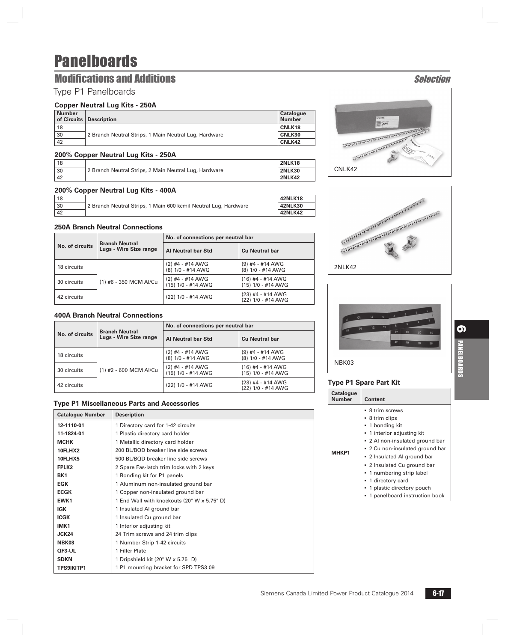### **Modifications and Additions Selection**

### Type P1 Panelboards

#### **Copper Neutral Lug Kits - 250A**

| <b>Number</b> | of Circuits   Description                             | <b>Catalogue</b><br><b>Number</b> |
|---------------|-------------------------------------------------------|-----------------------------------|
| 18            |                                                       | CNLK18                            |
| 30            | 2 Branch Neutral Strips, 1 Main Neutral Lug, Hardware | CNLK30                            |
| 42            |                                                       | CNLK42                            |

#### **200% Copper Neutral Lug Kits - 250A**

| 18 |                                                       | <b>2NLK18</b> |
|----|-------------------------------------------------------|---------------|
| 30 | 2 Branch Neutral Strips, 2 Main Neutral Lug, Hardware | <b>2NLK30</b> |
| 42 |                                                       | <b>2NLK42</b> |

#### **200% Copper Neutral Lug Kits - 400A**

| 18 |                                                                 | <b>42NLK18</b> |
|----|-----------------------------------------------------------------|----------------|
| 30 | 2 Branch Neutral Strips, 1 Main 600 kcmil Neutral Lug, Hardware | <b>42NLK30</b> |
| 42 |                                                                 | <b>42NLK42</b> |

#### **250A Branch Neutral Connections**

| No. of circuits | <b>Branch Neutral</b><br>Lugs - Wire Size range | No. of connections per neutral bar       |                                           |  |
|-----------------|-------------------------------------------------|------------------------------------------|-------------------------------------------|--|
|                 |                                                 | Al Neutral bar Std                       | <b>Cu Neutral bar</b>                     |  |
| 18 circuits     | (1) #6 - 350 MCM Al/Cu                          | $(2)$ #4 - #14 AWG<br>(8) 1/0 - #14 AWG  | $(9)$ #4 - #14 AWG<br>(8) 1/0 - #14 AWG   |  |
| 30 circuits     |                                                 | $(2)$ #4 - #14 AWG<br>(15) 1/0 - #14 AWG | $(16)$ #4 - #14 AWG<br>(15) 1/0 - #14 AWG |  |
| 42 circuits     |                                                 | (22) 1/0 - #14 AWG                       | $(23)$ #4 - #14 AWG<br>(22) 1/0 - #14 AWG |  |

#### **400A Branch Neutral Connections**

| No. of circuits | <b>Branch Neutral</b><br>Lugs - Wire Size range | No. of connections per neutral bar       |                                           |  |
|-----------------|-------------------------------------------------|------------------------------------------|-------------------------------------------|--|
|                 |                                                 | Al Neutral bar Std                       | <b>Cu Neutral bar</b>                     |  |
| 18 circuits     | (1) #2 - 600 MCM Al/Cu                          | $(2)$ #4 - #14 AWG<br>(8) 1/0 - #14 AWG  | $(9)$ #4 - #14 AWG<br>(8) 1/0 - #14 AWG   |  |
| 30 circuits     |                                                 | $(2)$ #4 - #14 AWG<br>(15) 1/0 - #14 AWG | $(16)$ #4 - #14 AWG<br>(15) 1/0 - #14 AWG |  |
| 42 circuits     |                                                 | (22) 1/0 - #14 AWG                       | $(23)$ #4 - #14 AWG<br>(22) 1/0 - #14 AWG |  |

#### **Type P1 Miscellaneous Parts and Accessories**

| <b>Catalogue Number</b> | <b>Description</b>                          |  |  |
|-------------------------|---------------------------------------------|--|--|
| 12-1110-01              | 1 Directory card for 1-42 circuits          |  |  |
| 11-1824-01              | 1 Plastic directory card holder             |  |  |
| <b>MCHK</b>             | 1 Metallic directory card holder            |  |  |
| 10FLHX2                 | 200 BL/BOD breaker line side screws         |  |  |
| 10FLHX5                 | 500 BL/BQD breaker line side screws         |  |  |
| FPLK <sub>2</sub>       | 2 Spare Fas-latch trim locks with 2 keys    |  |  |
| BK <sub>1</sub>         | 1 Bonding kit for P1 panels                 |  |  |
| <b>EGK</b>              | 1 Aluminum non-insulated ground bar         |  |  |
| <b>ECGK</b>             | 1 Copper non-insulated ground bar           |  |  |
| EWK1                    | 1 End Wall with knockouts (20" W x 5.75" D) |  |  |
| <b>IGK</b>              | 1 Insulated AI ground bar                   |  |  |
| <b>ICGK</b>             | 1 Insulated Cu ground bar                   |  |  |
| IMK1                    | 1 Interior adjusting kit                    |  |  |
| JCK24                   | 24 Trim screws and 24 trim clips            |  |  |
| NBK03                   | 1 Number Strip 1-42 circuits                |  |  |
| QF3-UL                  | 1 Filler Plate                              |  |  |
| <b>SDKN</b>             | 1 Dripshield kit (20" W x 5.75" D)          |  |  |
| <b>TPS9IKITP1</b>       | 1 P1 mounting bracket for SPD TPS3 09       |  |  |







NBK03

#### **Type P1 Spare Part Kit**

| <b>Catalogue</b><br><b>Number</b> | <b>Content</b>                                                                                                                                                                                                                                                                                                                                         |
|-----------------------------------|--------------------------------------------------------------------------------------------------------------------------------------------------------------------------------------------------------------------------------------------------------------------------------------------------------------------------------------------------------|
| <b>MHKP1</b>                      | • 8 trim screws<br>• 8 trim clips<br>• 1 bonding kit<br>• 1 interior adjusting kit<br>• 2 Al non-insulated ground bar<br>• 2 Cu non-insulated ground bar<br>• 2 Insulated AI ground bar<br>• 2 Insulated Cu ground bar<br>• 1 numbering strip label<br>• 1 directory card<br>1 plastic directory pouch<br>$\blacksquare$ 1 nanalhoard inetruction hook |
|                                   |                                                                                                                                                                                                                                                                                                                                                        |

1 panelboard instruction boo

**C**<br>BUNELBOARDS

PANELBOARDS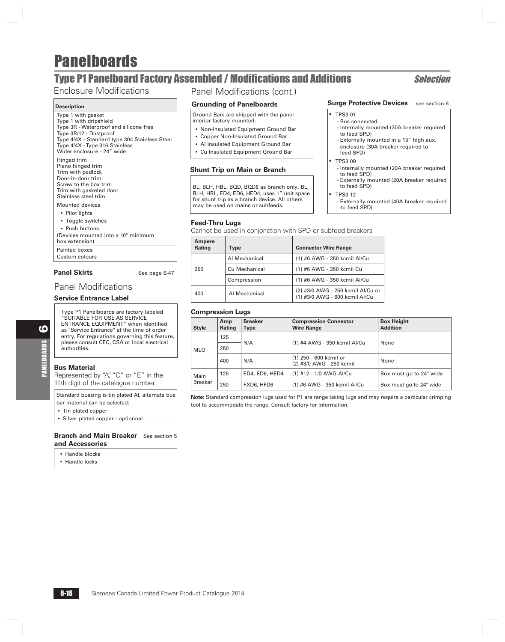## **Type P1 Panelboard Factory Assembled / Modifications and Additions Selection**

### Enclosure Modifications

#### **Description**

| Type 1 with gasket<br>Type 1 with dripshield<br>Type 3R - Waterproof and silicone free<br>Type 3R/12 - Dustproof<br>Type 4/4X - Standard type 304 Stainless Steel<br>Type 4/4X - Type 316 Stainless<br>Wider enclosure - 24" wide |
|-----------------------------------------------------------------------------------------------------------------------------------------------------------------------------------------------------------------------------------|
| Hinged trim<br>Piano hinged trim<br>Trim with padlock<br>Door-in-door trim<br>Screw to the box trim<br>Trim with gasketed door<br>Stainless steel trim                                                                            |
| Mounted devices<br>• Pilot lights<br>• Toggle switches<br>· Push buttons<br>(Devices mounted into a 10" minimum<br>box extension)<br>Painted boxes<br>Custom colours                                                              |
|                                                                                                                                                                                                                                   |

#### Panel Skirts See page 6-47

### Panel Modifications

#### **Service Entrance Label**

 Type P1 Panelboards are factory labeled "SUITABLE FOR USE AS SERVICE ENTRANCE EQUIPMENT" when identified as "Service Entrance" at the time of order entry. For regulations governing this feature, please consult CEC, CSA or local electrical authorities.

#### **Bus Material**

6

PANELBOARDS

PANELBOARDS

Represented by "A", "C" or "E" in the 11th digit of the catalogue number

Standard bussing is tin plated Al, alternate bus bar material can be selected:

- Tin plated copper
- **B** Silver plated copper optionnal

**Branch and Main Breaker** See section 5 **and Accessories**

- Handle blocks
- Handle locks

### Panel Modifications (cont.)

#### **Grounding of Panelboards**

Ground Bars are shipped with the panel interior factory mounted.

- Non-Insulated Equipment Ground Bar
- **Copper Non-Insulated Ground Bar**
- Al Insulated Equipment Ground Bar
- Cu Insulated Equipment Ground Bar

#### **Shunt Trip on Main or Branch**

BL, BLH, HBL, BQD, BQD6 as branch only. BL, BLH, HBL, ED4, ED6, HED4, uses 1" unit space for shunt trip as a branch device. All others may be used on mains or subfeeds.

#### **Feed-Thru Lugs**

Cannot be used in conjonction with SPD or subfeed breakers

| Ampere<br>Rating | Type          | <b>Connector Wire Range</b>                                         |
|------------------|---------------|---------------------------------------------------------------------|
|                  | Al Mechanical | (1) #6 AWG - 350 kcmil Al/Cu                                        |
| 250              | Cu Mechanical | (1) #6 AWG - 350 kcmil Cu                                           |
|                  | Compression   | (1) #6 AWG - 350 kcmil Al/Cu                                        |
| 400              | Al Mechanical | (2) #3/0 AWG - 250 kcmil Al/Cu or<br>(1) #3/0 AWG - 600 kcmil Al/Cu |

#### **Compression Lugs**

| <b>Style</b>                    | Amp<br>Rating | <b>Breaker</b><br>Type | <b>Compression Connector</b><br><b>Wire Range</b>  | <b>Box Height</b><br><b>Addition</b> |  |
|---------------------------------|---------------|------------------------|----------------------------------------------------|--------------------------------------|--|
| 125<br>250<br><b>MLO</b><br>400 |               | N/A                    |                                                    | None                                 |  |
|                                 |               |                        | (1) #4 AWG - 350 kcmil Al/Cu                       |                                      |  |
|                                 |               | N/A                    | (1) 250 - 600 kcmil or<br>(2) #3/0 AWG - 250 kcmil | None                                 |  |
| Main<br><b>Breaker</b>          | 125           | ED4, ED6, HED4         | (1) #12 - 1/0 AWG AI/Cu                            | Box must go to 24" wide              |  |
|                                 | 250           | FXD6, HFD6             | (1) #6 AWG - 350 kcmil Al/Cu                       | Box must go to 24" wide              |  |

**Note:** Standard compression lugs used for P1 are range taking lugs and may require a particular crimping tool to accommodate the range. Consult factory for information.

#### **Surge Protective Devices** see section 6

#### b TPS3 01

- Bus connected - Internally mounted (30A breaker required to feed SPD)
- Externally mounted in a 15" high aux. enclosure (30A breaker required to
- feed SPD)  $TPS309$ 
	- Internally mounted (20A breaker required to feed SPD)
	- Externally mounted (20A breaker required to feed SPD)
	- **TPS3 12**
	- Externally mounted (40A breaker required to feed SPD)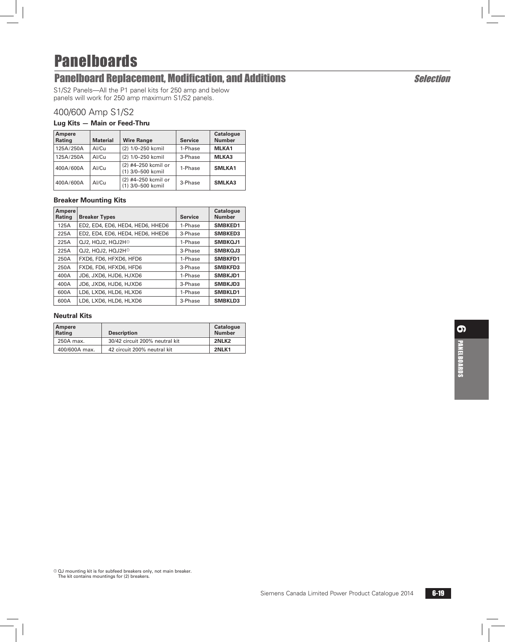## Panelboard Replacement, Modification, and Additions Selection

S1/S2 Panels—All the P1 panel kits for 250 amp and below panels will work for 250 amp maximum S1/S2 panels.

### 400/600 Amp S1/S2

#### **Lug Kits — Main or Feed-Thru**

| Ampere<br>Rating | <b>Material</b> | <b>Wire Range</b>                        | <b>Service</b> | <b>Catalogue</b><br><b>Number</b> |
|------------------|-----------------|------------------------------------------|----------------|-----------------------------------|
| 125A/250A        | Al/Cu           | (2) 1/0-250 kcmil                        | 1-Phase        | MLKA1                             |
| 125A/250A        | Al/Cu           | (2) 1/0-250 kcmil                        | 3-Phase        | MLKA3                             |
| 400A/600A        | Al/Cu           | (2) #4-250 kcmil or<br>(1) 3/0-500 kcmil | 1-Phase        | SMLKA1                            |
| 400A/600A        | Al/Cu           | (2) #4-250 kcmil or<br>(1) 3/0-500 kcmil | 3-Phase        | <b>SMLKA3</b>                     |

#### **Breaker Mounting Kits**

| Ampere<br>Rating | <b>Breaker Types</b>             | <b>Service</b> | <b>Catalogue</b><br><b>Number</b> |
|------------------|----------------------------------|----------------|-----------------------------------|
| 125A             | ED2, ED4, ED6, HED4, HED6, HHED6 | 1-Phase        | SMBKED1                           |
| 225A             | ED2, ED4, ED6, HED4, HED6, HHED6 | 3-Phase        | <b>SMBKED3</b>                    |
| 225A             | QJ2, HQJ2, HQJ2H <sup>®</sup>    | 1-Phase        | SMBKQJ1                           |
| 225A             | QJ2, HQJ2, HQJ2H <sup>®</sup>    | 3-Phase        | SMBKQJ3                           |
| 250A             | FXD6, FD6, HFXD6, HFD6           | 1-Phase        | SMBKFD1                           |
| 250A             | FXD6, FD6, HFXD6, HFD6           | 3-Phase        | <b>SMBKFD3</b>                    |
| 400A             | JD6, JXD6, HJD6, HJXD6           | 1-Phase        | SMBKJD1                           |
| 400A             | JD6, JXD6, HJD6, HJXD6           | 3-Phase        | SMBKJD3                           |
| 600A             | LD6, LXD6, HLD6, HLXD6           | 1-Phase        | SMBKLD1                           |
| 600A             | LD6, LXD6, HLD6, HLXD6           | 3-Phase        | <b>SMBKLD3</b>                    |

#### **Neutral Kits**

| Ampere<br>Rating | <b>Description</b>             | Catalogue<br><b>Number</b> |
|------------------|--------------------------------|----------------------------|
| 250A max.        | 30/42 circuit 200% neutral kit | 2NLK <sub>2</sub>          |
| 400/600A max.    | 42 circuit 200% neutral kit    | 2NLK1                      |

 $0$  QJ mounting kit is for subfeed breakers only, not main breaker. The kit contains mountings for (2) breakers.